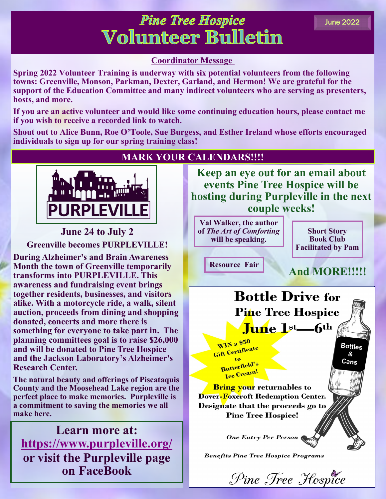## **Pine Tree Hospice Volunteer Bulletin**

## **Coordinator Message**

**Spring 2022 Volunteer Training is underway with six potential volunteers from the following towns: Greenville, Monson, Parkman, Dexter, Garland, and Hermon! We are grateful for the support of the Education Committee and many indirect volunteers who are serving as presenters, hosts, and more.** 

**If you are an active volunteer and would like some continuing education hours, please contact me if you wish to receive a recorded link to watch.** 

**Shout out to Alice Bunn, Roe O'Toole, Sue Burgess, and Esther Ireland whose efforts encouraged individuals to sign up for our spring training class!**



**June 24 to July 2 Greenville becomes PURPLEVILLE!**

**During Alzheimer's and Brain Awareness Month the town of Greenville temporarily transforms into PURPLEVILLE. This awareness and fundraising event brings together residents, businesses, and visitors alike. With a motorcycle ride, a walk, silent auction, proceeds from dining and shopping donated, concerts and more there is something for everyone to take part in. The planning committees goal is to raise \$26,000 and will be donated to Pine Tree Hospice and the Jackson Laboratory's Alzheimer's Research Center.** 

**The natural beauty and offerings of Piscataquis County and the Moosehead Lake region are the perfect place to make memories. Purpleville is a commitment to saving the memories we all make here.**

**Learn more at: [https://www.purpleville.org/](http://www.purpleville.org) or visit the Purpleville page on FaceBook**

## **MARK YOUR CALENDARS!!!!**

**Keep an eye out for an email about events Pine Tree Hospice will be hosting during Purpleville in the next couple weeks!**

**Val Walker, the author of** *The Art of Comforting*  **will be speaking.**

**Short Story Book Club Facilitated by Pam**

**Resource Fair**

## **And MORE!!!!!**



WIN a \$50 Gift Certificate to Butterfield's Jutterneen!

**Bottles** &

 $Cans$ 

**Bring your** returnables to Dover-Foxcroft Redemption Center. Designate that the proceeds go to **Pine Tree Hospice!** 

**One Entry Per Person** 

**Benefits Pine Tree Hospice Programs** 

Pine Tree Hospice